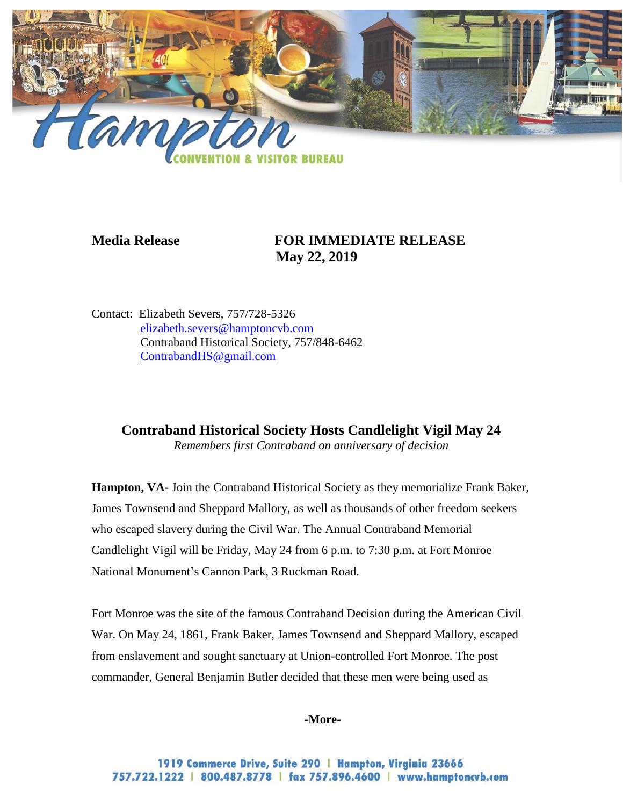

## **Media Release FOR IMMEDIATE RELEASE May 22, 2019**

Contact: Elizabeth Severs, 757/728-5326 [elizabeth.severs@hamptoncvb.com](mailto:elizabeth.severs@hamptoncvb.com) Contraband Historical Society, 757/848-6462 ContrabandHS@gmail.com

**Contraband Historical Society Hosts Candlelight Vigil May 24**

*Remembers first Contraband on anniversary of decision*

**Hampton, VA-** Join the Contraband Historical Society as they memorialize Frank Baker, James Townsend and Sheppard Mallory, as well as thousands of other freedom seekers who escaped slavery during the Civil War. The Annual Contraband Memorial Candlelight Vigil will be Friday, May 24 from 6 p.m. to 7:30 p.m. at Fort Monroe National Monument's Cannon Park, 3 Ruckman Road.

Fort Monroe was the site of the famous Contraband Decision during the American Civil War. On May 24, 1861, Frank Baker, James Townsend and Sheppard Mallory, escaped from enslavement and sought sanctuary at Union-controlled Fort Monroe. The post commander, General Benjamin Butler decided that these men were being used as

**-More-**